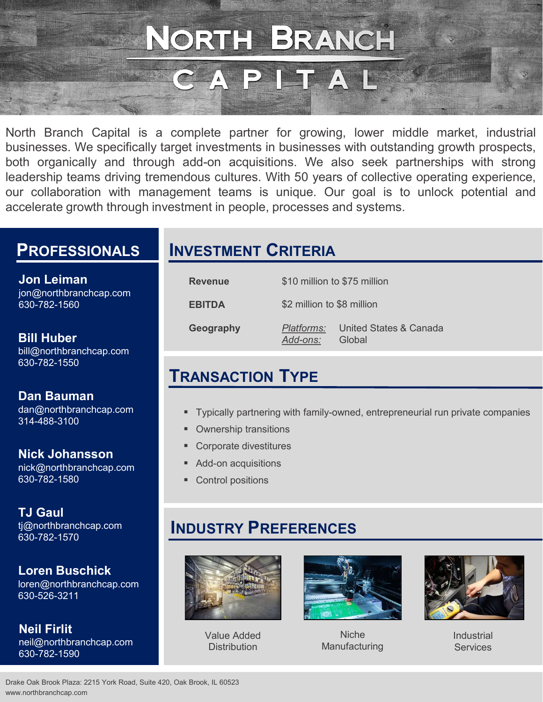NORTH BRANCH<br>
CAPITAL<br>
North Branch Capital is a complete partner for growing, lower middle market, industrial<br>
businesses. We specifically target investments in businesses with outstanding growth prospects,<br>
both organica **business and CORTH BRANCH**<br>
North Branch Capital is a complete partner for growing, lower middle market, industrial<br>
businesses. We specifically target investments in businesses with outstanding growth prospects,<br>
both or **both or and the complete of the CAP ITAL**<br>
North Branch Capital is a complete partner for growing, lower middle market, industrial<br>
businesses. We specifically target investments in businesses with outstanding growth pros **CAPITH BRANCH**<br>
North Branch Capital is a complete partner for growing, lower middle market, industrial<br>
businesses. We specifically target investments in businesses with outstanding growth prospects,<br>
bend rorganically a **ORTH BRANCH**<br>
North Branch Capital is a complete partner for growing, lower middle market, industrial<br>
businesses. We specifically target investments in businesses with outstanding growth prospects,<br>
both organically and **EXANCH SERANCH SERVIT DESCRIPT DEVIDED AND AND AND AND ARRENT CHIRD NOT SURVEY AND NOT CONTROLLAT SURVEY AND SURVEY AND HOT CONTROLLY AND SURVEY DEVIDED AND HOT CONTROLLY AND SURVEY DRIVEY AND SURVEY AND SURVEY AND SURVEY** 

#### **PROFESSIONALS**

Jon Leiman jon@northbranchcap.com 630-782-1560

Bill Huber bill@northbranchcap.com 630-782-1550

Dan Bauman 314-488-3100

Nick Johansson nick@northbranchcap.com

630-782-1580

TJ Gaul 630-782-1570

Loren Buschick loren@northbranchcap.com 630-526-3211

Neil Firlit neil@northbranchcap.com Distribution 630-782-1590

## INVESTMENT CRITERIA

|                          | abab banarbor Thin bo foarb or bollocity oporaing oxportonou;<br>ment teams is unique. Our goal is to unlock potential and<br>ment in people, processes and systems. |                                                                                 |  |  |
|--------------------------|----------------------------------------------------------------------------------------------------------------------------------------------------------------------|---------------------------------------------------------------------------------|--|--|
| <b>VESTMENT CRITERIA</b> |                                                                                                                                                                      |                                                                                 |  |  |
| <b>Revenue</b>           |                                                                                                                                                                      | \$10 million to \$75 million                                                    |  |  |
| <b>EBITDA</b>            |                                                                                                                                                                      | \$2 million to \$8 million                                                      |  |  |
| Geography                | Platforms:<br>Add-ons:                                                                                                                                               | <b>United States &amp; Canada</b><br>Global                                     |  |  |
| RANSACTION TYPE          |                                                                                                                                                                      |                                                                                 |  |  |
|                          |                                                                                                                                                                      | " Typically partnering with family-owned, entrepreneurial run private companies |  |  |
|                          | • Ownership transitions<br>• Corporate divestitures                                                                                                                  |                                                                                 |  |  |
| Add-on acquisitions      |                                                                                                                                                                      |                                                                                 |  |  |

### TRANSACTION TYPE

- dan@northbranchcap.com Typically partnering with family-owned, entrepreneurial run private companies
	- **Ownership transitions**
	- **Corporate divestitures**
	- Add-on acquisitions
	- Control positions

### INDUSTRY PREFERENCES tj@northbranchcap.com



Value Added



Distribution Manufacturing Niche



Industrial **Services**